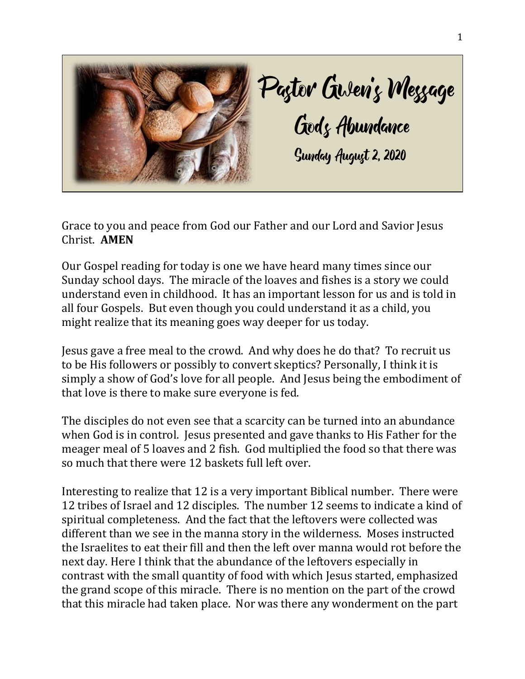

Grace to you and peace from God our Father and our Lord and Savior Jesus Christ. **AMEN**

Our Gospel reading for today is one we have heard many times since our Sunday school days. The miracle of the loaves and fishes is a story we could understand even in childhood. It has an important lesson for us and is told in all four Gospels. But even though you could understand it as a child, you might realize that its meaning goes way deeper for us today.

Jesus gave a free meal to the crowd. And why does he do that? To recruit us to be His followers or possibly to convert skeptics? Personally, I think it is simply a show of God's love for all people. And Jesus being the embodiment of that love is there to make sure everyone is fed.

The disciples do not even see that a scarcity can be turned into an abundance when God is in control. Jesus presented and gave thanks to His Father for the meager meal of 5 loaves and 2 fish. God multiplied the food so that there was so much that there were 12 baskets full left over.

Interesting to realize that 12 is a very important Biblical number. There were 12 tribes of Israel and 12 disciples. The number 12 seems to indicate a kind of spiritual completeness. And the fact that the leftovers were collected was different than we see in the manna story in the wilderness. Moses instructed the Israelites to eat their fill and then the left over manna would rot before the next day. Here I think that the abundance of the leftovers especially in contrast with the small quantity of food with which Jesus started, emphasized the grand scope of this miracle. There is no mention on the part of the crowd that this miracle had taken place. Nor was there any wonderment on the part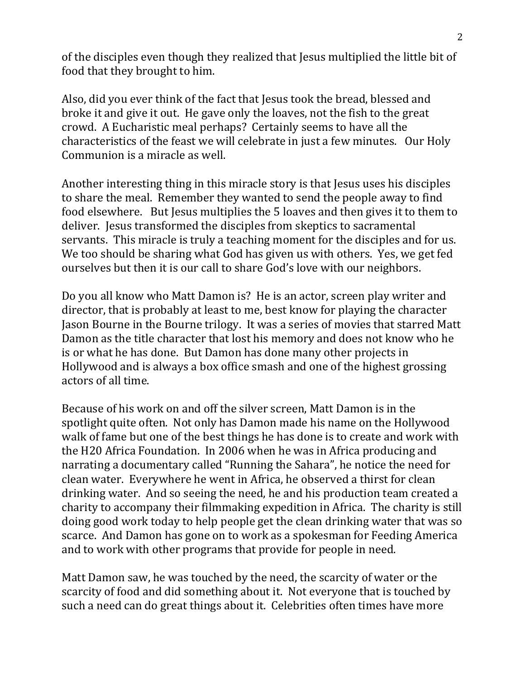of the disciples even though they realized that Jesus multiplied the little bit of food that they brought to him.

Also, did you ever think of the fact that Jesus took the bread, blessed and broke it and give it out. He gave only the loaves, not the fish to the great crowd. A Eucharistic meal perhaps? Certainly seems to have all the characteristics of the feast we will celebrate in just a few minutes. Our Holy Communion is a miracle as well.

Another interesting thing in this miracle story is that Jesus uses his disciples to share the meal. Remember they wanted to send the people away to find food elsewhere. But Jesus multiplies the 5 loaves and then gives it to them to deliver. Jesus transformed the disciples from skeptics to sacramental servants. This miracle is truly a teaching moment for the disciples and for us. We too should be sharing what God has given us with others. Yes, we get fed ourselves but then it is our call to share God's love with our neighbors.

Do you all know who Matt Damon is? He is an actor, screen play writer and director, that is probably at least to me, best know for playing the character Jason Bourne in the Bourne trilogy. It was a series of movies that starred Matt Damon as the title character that lost his memory and does not know who he is or what he has done. But Damon has done many other projects in Hollywood and is always a box office smash and one of the highest grossing actors of all time.

Because of his work on and off the silver screen, Matt Damon is in the spotlight quite often. Not only has Damon made his name on the Hollywood walk of fame but one of the best things he has done is to create and work with the H20 Africa Foundation. In 2006 when he was in Africa producing and narrating a documentary called "Running the Sahara", he notice the need for clean water. Everywhere he went in Africa, he observed a thirst for clean drinking water. And so seeing the need, he and his production team created a charity to accompany their filmmaking expedition in Africa. The charity is still doing good work today to help people get the clean drinking water that was so scarce. And Damon has gone on to work as a spokesman for Feeding America and to work with other programs that provide for people in need.

Matt Damon saw, he was touched by the need, the scarcity of water or the scarcity of food and did something about it. Not everyone that is touched by such a need can do great things about it. Celebrities often times have more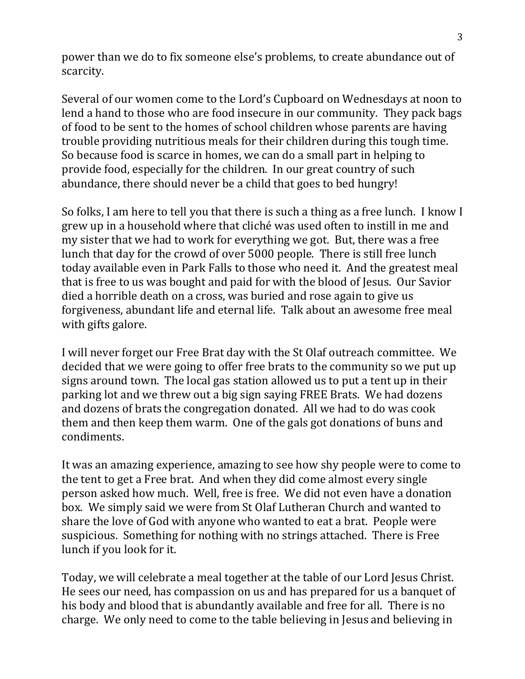power than we do to fix someone else's problems, to create abundance out of scarcity.

Several of our women come to the Lord's Cupboard on Wednesdays at noon to lend a hand to those who are food insecure in our community. They pack bags of food to be sent to the homes of school children whose parents are having trouble providing nutritious meals for their children during this tough time. So because food is scarce in homes, we can do a small part in helping to provide food, especially for the children. In our great country of such abundance, there should never be a child that goes to bed hungry!

So folks, I am here to tell you that there is such a thing as a free lunch. I know I grew up in a household where that cliché was used often to instill in me and my sister that we had to work for everything we got. But, there was a free lunch that day for the crowd of over 5000 people. There is still free lunch today available even in Park Falls to those who need it. And the greatest meal that is free to us was bought and paid for with the blood of Jesus. Our Savior died a horrible death on a cross, was buried and rose again to give us forgiveness, abundant life and eternal life. Talk about an awesome free meal with gifts galore.

I will never forget our Free Brat day with the St Olaf outreach committee. We decided that we were going to offer free brats to the community so we put up signs around town. The local gas station allowed us to put a tent up in their parking lot and we threw out a big sign saying FREE Brats. We had dozens and dozens of brats the congregation donated. All we had to do was cook them and then keep them warm. One of the gals got donations of buns and condiments.

It was an amazing experience, amazing to see how shy people were to come to the tent to get a Free brat. And when they did come almost every single person asked how much. Well, free is free. We did not even have a donation box. We simply said we were from St Olaf Lutheran Church and wanted to share the love of God with anyone who wanted to eat a brat. People were suspicious. Something for nothing with no strings attached. There is Free lunch if you look for it.

Today, we will celebrate a meal together at the table of our Lord Jesus Christ. He sees our need, has compassion on us and has prepared for us a banquet of his body and blood that is abundantly available and free for all. There is no charge. We only need to come to the table believing in Jesus and believing in